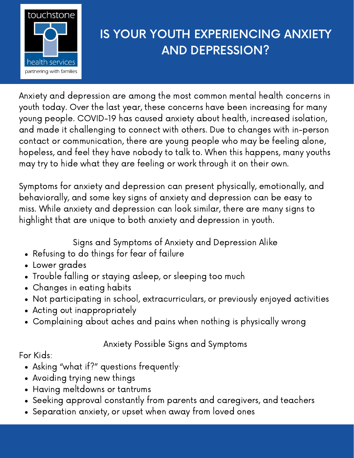

## IS YOUR YOUTH EXPERIENCING ANXIETY AND DEPRESSION?

Anxiety and depression are among the most common mental health concerns in youth today. Over the last year, these concerns have been increasing for many young people. COVID-19 has caused anxiety about health, increased isolation, and made it challenging to connect with others. Due to changes with in-person contact or communication, there are young people who may be feeling alone, hopeless, and feel they have nobody to talk to. When this happens, many youths may try to hide what they are feeling or work through it on their own.

Symptoms for anxiety and depression can present physically, emotionally, and behaviorally, and some key signs of anxiety and depression can be easy to miss. While anxiety and depression can look similar, there are many signs to highlight that are unique to both anxiety and depression in youth.

Signs and Symptoms of Anxiety and Depression Alike

- Refusing to do things for fear of failure
- Lower grades
- Trouble falling or staying asleep, or sleeping too much
- Changes in eating habits
- Not participating in school, extracurriculars, or previously enjoyed activities
- Acting out inappropriately
- Complaining about aches and pains when nothing is physically wrong

Anxiety Possible Signs and Symptoms

For Kids:

- Asking "what if?" questions frequently·
- Avoiding trying new things
- Having meltdowns or tantrums
- Seeking approval constantly from parents and caregivers, and teachers
- Separation anxiety, or upset when away from loved ones